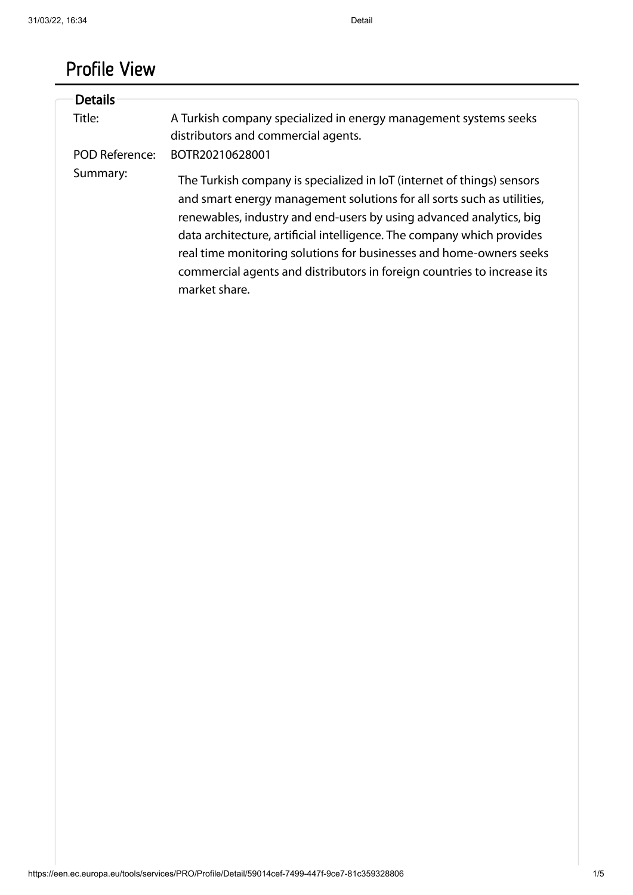# Profile View

| <b>Details</b> |                                                                                                                                                                                                                                                                                                                                                                                                                                                                      |
|----------------|----------------------------------------------------------------------------------------------------------------------------------------------------------------------------------------------------------------------------------------------------------------------------------------------------------------------------------------------------------------------------------------------------------------------------------------------------------------------|
|                |                                                                                                                                                                                                                                                                                                                                                                                                                                                                      |
| Title:         | A Turkish company specialized in energy management systems seeks                                                                                                                                                                                                                                                                                                                                                                                                     |
|                | distributors and commercial agents.                                                                                                                                                                                                                                                                                                                                                                                                                                  |
| POD Reference: | BOTR20210628001                                                                                                                                                                                                                                                                                                                                                                                                                                                      |
| Summary:       | The Turkish company is specialized in IoT (internet of things) sensors<br>and smart energy management solutions for all sorts such as utilities,<br>renewables, industry and end-users by using advanced analytics, big<br>data architecture, artificial intelligence. The company which provides<br>real time monitoring solutions for businesses and home-owners seeks<br>commercial agents and distributors in foreign countries to increase its<br>market share. |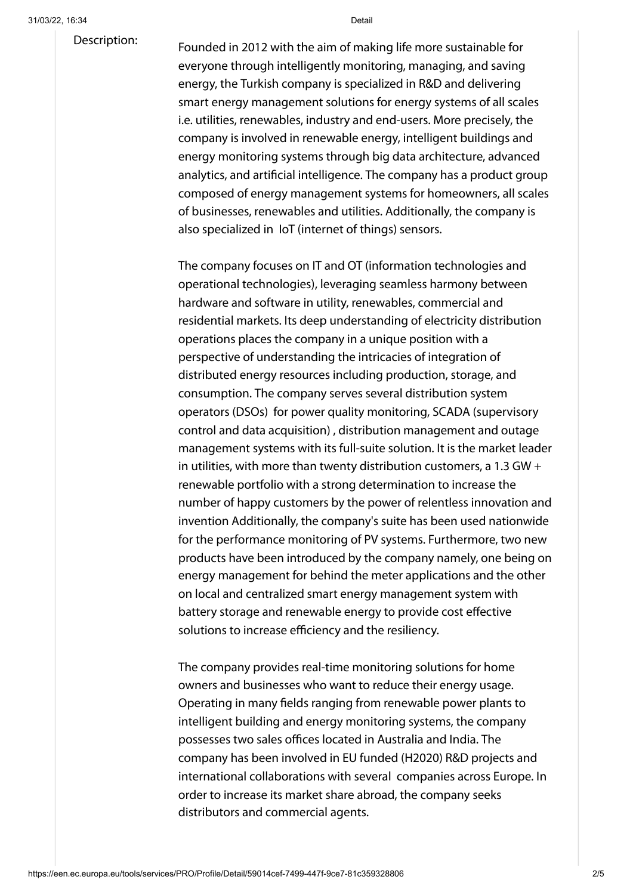#### Description:

Founded in 2012 with the aim of making life more sustainable for everyone through intelligently monitoring, managing, and saving energy, the Turkish company is specialized in R&D and delivering smart energy management solutions for energy systems of all scales i.e. utilities, renewables, industry and end-users. More precisely, the company is involved in renewable energy, intelligent buildings and energy monitoring systems through big data architecture, advanced analytics, and artificial intelligence. The company has a product group composed of energy management systems for homeowners, all scales of businesses, renewables and utilities. Additionally, the company is also specialized in IoT (internet of things) sensors.

The company focuses on IT and OT (information technologies and operational technologies), leveraging seamless harmony between hardware and software in utility, renewables, commercial and residential markets. Its deep understanding of electricity distribution operations places the company in a unique position with a perspective of understanding the intricacies of integration of distributed energy resources including production, storage, and consumption. The company serves several distribution system operators (DSOs) for power quality monitoring, SCADA (supervisory control and data acquisition) , distribution management and outage management systems with its full-suite solution. It is the market leader in utilities, with more than twenty distribution customers, a 1.3 GW + renewable portfolio with a strong determination to increase the number of happy customers by the power of relentless innovation and invention Additionally, the company's suite has been used nationwide for the performance monitoring of PV systems. Furthermore, two new products have been introduced by the company namely, one being on energy management for behind the meter applications and the other on local and centralized smart energy management system with battery storage and renewable energy to provide cost effective solutions to increase efficiency and the resiliency.

The company provides real-time monitoring solutions for home owners and businesses who want to reduce their energy usage. Operating in many fields ranging from renewable power plants to intelligent building and energy monitoring systems, the company possesses two sales offices located in Australia and India. The company has been involved in EU funded (H2020) R&D projects and international collaborations with several companies across Europe. In order to increase its market share abroad, the company seeks distributors and commercial agents.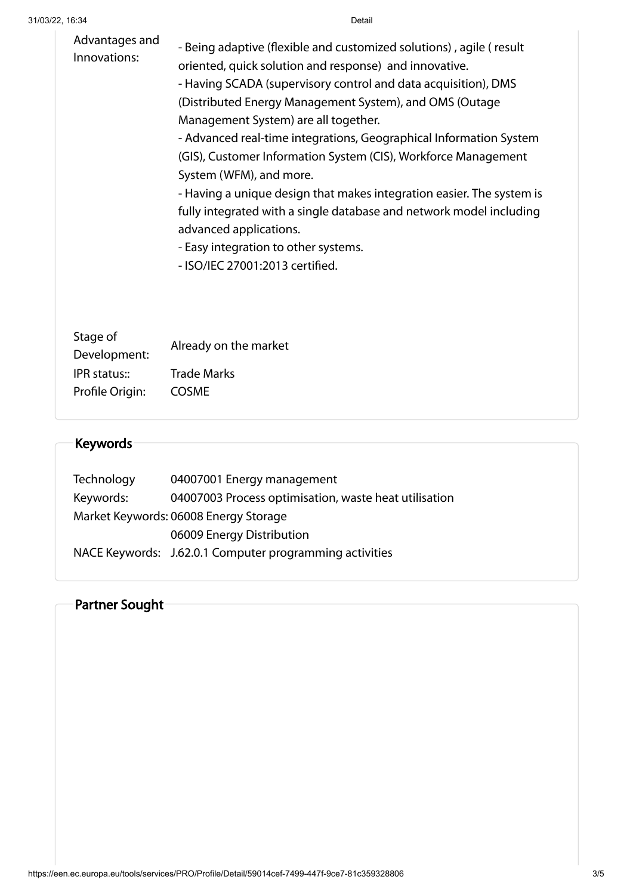| Advantages and<br>Innovations: | - Being adaptive (flexible and customized solutions), agile (result<br>oriented, quick solution and response) and innovative.<br>- Having SCADA (supervisory control and data acquisition), DMS<br>(Distributed Energy Management System), and OMS (Outage<br>Management System) are all together.<br>- Advanced real-time integrations, Geographical Information System<br>(GIS), Customer Information System (CIS), Workforce Management<br>System (WFM), and more.<br>- Having a unique design that makes integration easier. The system is<br>fully integrated with a single database and network model including<br>advanced applications.<br>- Easy integration to other systems.<br>- ISO/IEC 27001:2013 certified. |
|--------------------------------|----------------------------------------------------------------------------------------------------------------------------------------------------------------------------------------------------------------------------------------------------------------------------------------------------------------------------------------------------------------------------------------------------------------------------------------------------------------------------------------------------------------------------------------------------------------------------------------------------------------------------------------------------------------------------------------------------------------------------|
| Stage of<br>Development:       | Already on the market                                                                                                                                                                                                                                                                                                                                                                                                                                                                                                                                                                                                                                                                                                      |
| IPR status::                   | <b>Trade Marks</b>                                                                                                                                                                                                                                                                                                                                                                                                                                                                                                                                                                                                                                                                                                         |
| Profile Origin:                | <b>COSME</b>                                                                                                                                                                                                                                                                                                                                                                                                                                                                                                                                                                                                                                                                                                               |

## Keywords

| Technology                            | 04007001 Energy management                              |  |
|---------------------------------------|---------------------------------------------------------|--|
| Keywords:                             | 04007003 Process optimisation, waste heat utilisation   |  |
| Market Keywords: 06008 Energy Storage |                                                         |  |
|                                       | 06009 Energy Distribution                               |  |
|                                       | NACE Keywords: J.62.0.1 Computer programming activities |  |

### Partner Sought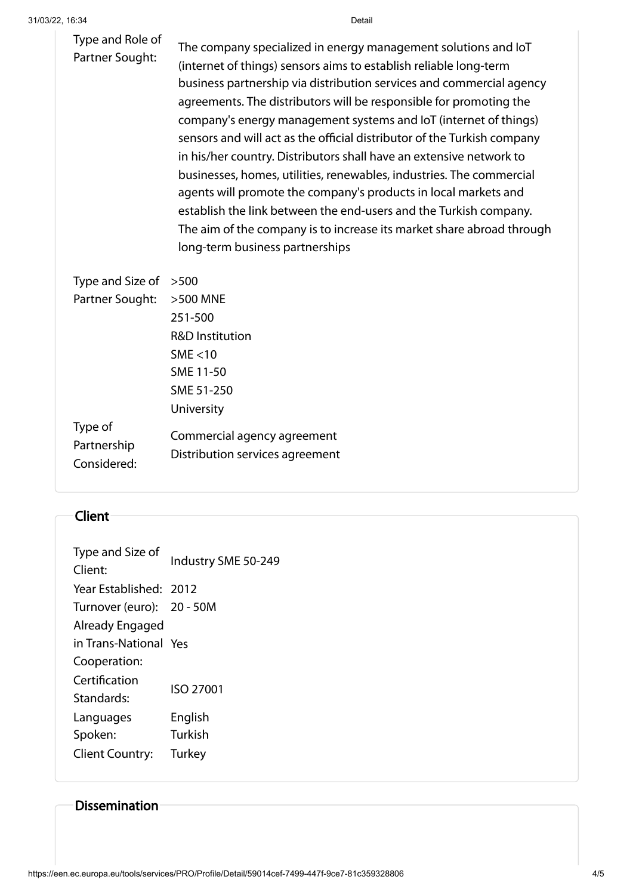| Type and Role of<br>Partner Sought: | The company specialized in energy management solutions and loT<br>(internet of things) sensors aims to establish reliable long-term<br>business partnership via distribution services and commercial agency<br>agreements. The distributors will be responsible for promoting the<br>company's energy management systems and IoT (internet of things)<br>sensors and will act as the official distributor of the Turkish company<br>in his/her country. Distributors shall have an extensive network to<br>businesses, homes, utilities, renewables, industries. The commercial<br>agents will promote the company's products in local markets and<br>establish the link between the end-users and the Turkish company.<br>The aim of the company is to increase its market share abroad through<br>long-term business partnerships |
|-------------------------------------|-------------------------------------------------------------------------------------------------------------------------------------------------------------------------------------------------------------------------------------------------------------------------------------------------------------------------------------------------------------------------------------------------------------------------------------------------------------------------------------------------------------------------------------------------------------------------------------------------------------------------------------------------------------------------------------------------------------------------------------------------------------------------------------------------------------------------------------|
|                                     |                                                                                                                                                                                                                                                                                                                                                                                                                                                                                                                                                                                                                                                                                                                                                                                                                                     |

| Type and Size of | >500                            |  |
|------------------|---------------------------------|--|
| Partner Sought:  | >500 MNE                        |  |
|                  | 251-500                         |  |
|                  | R&D Institution                 |  |
|                  | SME $<$ 10                      |  |
|                  | SME 11-50                       |  |
|                  | SME 51-250                      |  |
|                  | University                      |  |
| Type of          | Commercial agency agreement     |  |
| Partnership      | Distribution services agreement |  |
| Considered:      |                                 |  |

#### Client

| Type and Size of<br>Client: | Industry SME 50-249 |  |
|-----------------------------|---------------------|--|
| Year Established: 2012      |                     |  |
| Turnover (euro): 20 - 50M   |                     |  |
| Already Engaged             |                     |  |
| in Trans-National Yes       |                     |  |
| Cooperation:                |                     |  |
| Certification               | ISO 27001           |  |
| Standards:                  |                     |  |
| Languages                   | English             |  |
| Spoken:                     | Turkish             |  |
| <b>Client Country:</b>      | Turkey              |  |
|                             |                     |  |

### Dissemination